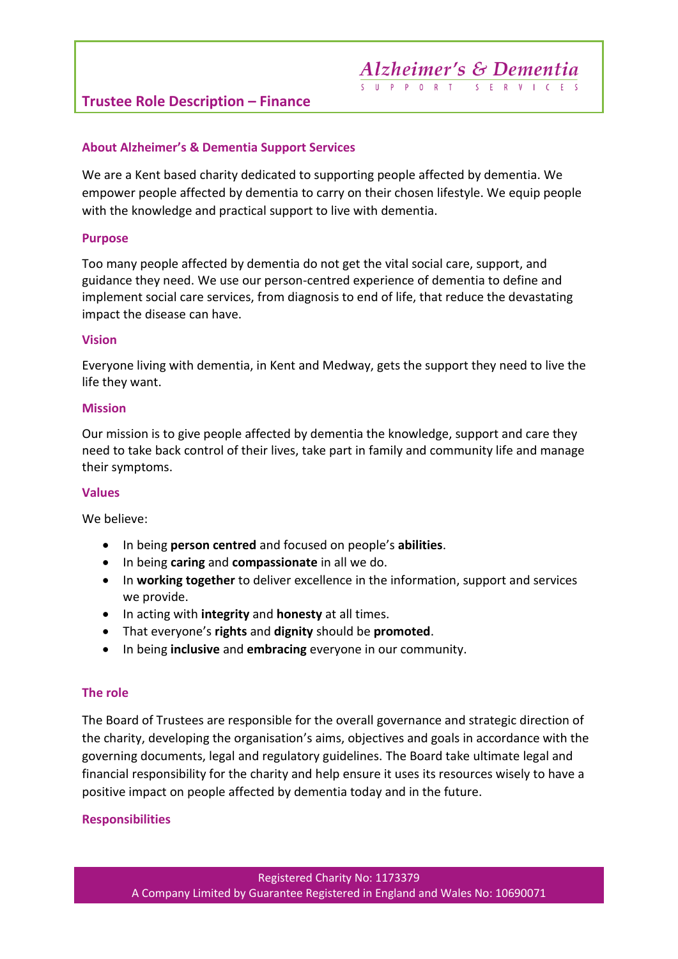#### **Trustee Role Description – Finance**

#### **About Alzheimer's & Dementia Support Services**

We are a Kent based charity dedicated to supporting people affected by dementia. We empower people affected by dementia to carry on their chosen lifestyle. We equip people with the knowledge and practical support to live with dementia.

#### **Purpose**

Too many people affected by dementia do not get the vital social care, support, and guidance they need. We use our person-centred experience of dementia to define and implement social care services, from diagnosis to end of life, that reduce the devastating impact the disease can have.

#### **Vision**

Everyone living with dementia, in Kent and Medway, gets the support they need to live the life they want.

#### **Mission**

Our mission is to give people affected by dementia the knowledge, support and care they need to take back control of their lives, take part in family and community life and manage their symptoms.

#### **Values**

We believe:

- In being **person centred** and focused on people's **abilities**.
- In being **caring** and **compassionate** in all we do.
- In **working together** to deliver excellence in the information, support and services we provide.
- In acting with **integrity** and **honesty** at all times.
- That everyone's **rights** and **dignity** should be **promoted**.
- In being **inclusive** and **embracing** everyone in our community.

#### **The role**

The Board of Trustees are responsible for the overall governance and strategic direction of the charity, developing the organisation's aims, objectives and goals in accordance with the governing documents, legal and regulatory guidelines. The Board take ultimate legal and financial responsibility for the charity and help ensure it uses its resources wisely to have a positive impact on people affected by dementia today and in the future.

#### **Responsibilities**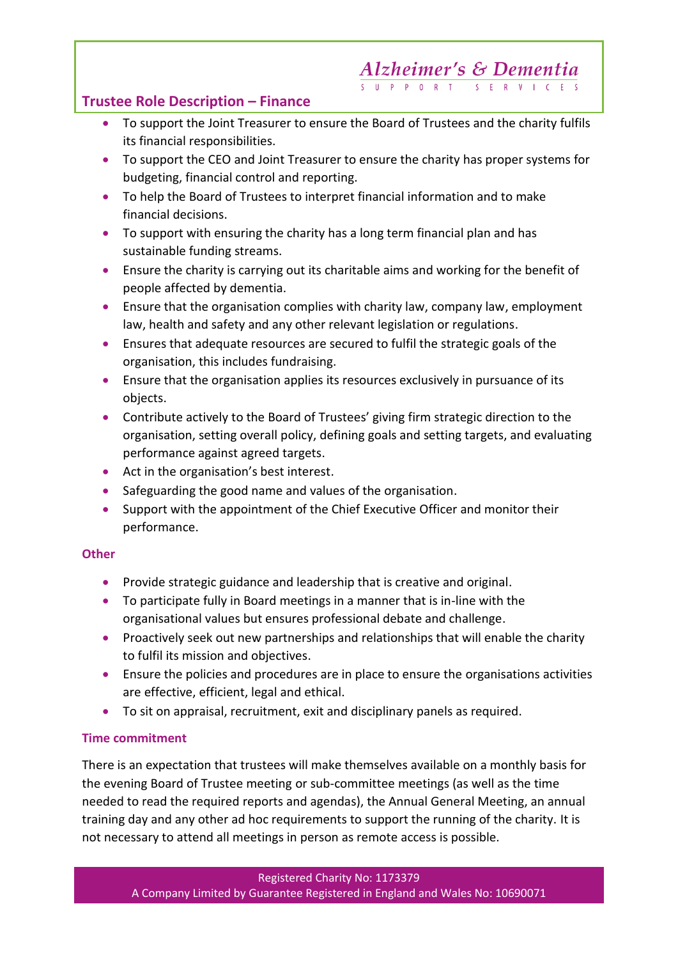# **Alzheimer's & Dementia**

**Trustee Role Description – Finance**

- To support the Joint Treasurer to ensure the Board of Trustees and the charity fulfils its financial responsibilities.
- To support the CEO and Joint Treasurer to ensure the charity has proper systems for budgeting, financial control and reporting.
- To help the Board of Trustees to interpret financial information and to make financial decisions.
- To support with ensuring the charity has a long term financial plan and has sustainable funding streams.
- Ensure the charity is carrying out its charitable aims and working for the benefit of people affected by dementia.
- Ensure that the organisation complies with charity law, company law, employment law, health and safety and any other relevant legislation or regulations.
- Ensures that adequate resources are secured to fulfil the strategic goals of the organisation, this includes fundraising.
- Ensure that the organisation applies its resources exclusively in pursuance of its objects.
- Contribute actively to the Board of Trustees' giving firm strategic direction to the organisation, setting overall policy, defining goals and setting targets, and evaluating performance against agreed targets.
- Act in the organisation's best interest.
- Safeguarding the good name and values of the organisation.
- Support with the appointment of the Chief Executive Officer and monitor their performance.

### **Other**

- Provide strategic guidance and leadership that is creative and original.
- To participate fully in Board meetings in a manner that is in-line with the organisational values but ensures professional debate and challenge.
- Proactively seek out new partnerships and relationships that will enable the charity to fulfil its mission and objectives.
- Ensure the policies and procedures are in place to ensure the organisations activities are effective, efficient, legal and ethical.
- To sit on appraisal, recruitment, exit and disciplinary panels as required.

## **Time commitment**

There is an expectation that trustees will make themselves available on a monthly basis for the evening Board of Trustee meeting or sub-committee meetings (as well as the time needed to read the required reports and agendas), the Annual General Meeting, an annual training day and any other ad hoc requirements to support the running of the charity. It is not necessary to attend all meetings in person as remote access is possible.